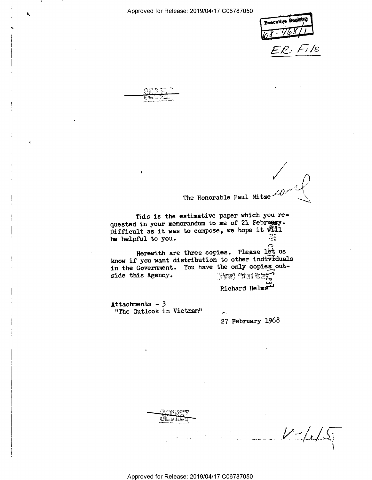Executive Register  $E$ , File

 $\sqrt{2}$ 

 $\sim$  15  $\pm$  15  $^{\circ}$  $\lambda$  ; in  $\alpha$  $\cdots$  ,  $\cdots$  $\mathcal{L}$  . The  $\mathcal{L}$  is the set of  $\mathcal{L}$ ,,.l\_-.\_-\_.\_...\_,\_.

Ŧ.

I

The Honorable Paul Nitze

This is the estimative paper which you requested in your memorandum to me of 21 February. Difficult as it was to compose, we hope it WIII be helpful to you. 급

Herewith are three copies. Please let us know if you want distribution to other individuals in the Government. You have the only copies out-<br>side this Agency. (Figs.  $\sum_{i=1}^{n}$ side this Agency.

Richard Helms

FT.'

Attachments - 3 "The Outlook in Vietnam"  $\lambda$ .

27 February 1968

 $V$  -/./ $S$ r~ \_ r

2.;

 $\Delta$ Fare ,1 . . . . <del>. . .</del>

i'\*'\*'§-—\¢-.r\,..--.. I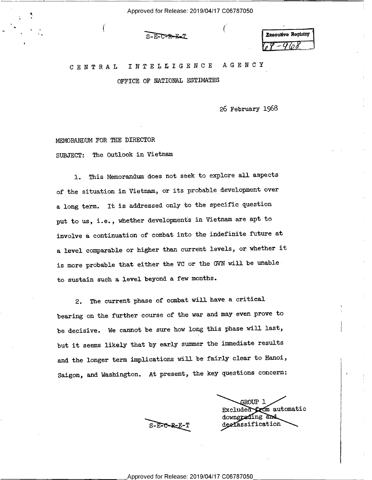1' -- S-E-C-R-E-T I' 1

# <sup>C</sup>E N T R A L I N T E L L I G E N C E A G E N <sup>C</sup> Y

OFFICE OF NATIONAL ESTIMATES

26 February 1968

MEMORANUM FOR THE DIRECTOR

~ ' (

SUBJECT: The Outlook in Vietnam

1. This Memorandum does not seek to explore all aspects of the situation in Vietnam, or its probable\_development over <sup>a</sup>long term. It is addressed only to the specific question put to us, i.e., whether developments in Vietnam are apt to involve a continuation of combat into the indefinite future at <sup>a</sup>level comparable or higher than current levels, or whether it is more probable that either the VC or the GVN will be unableto sustain such a level beyond a few months.

2. The current phase of combat will have a critical bearing on the further course of the war and may even prove to be decisive. We cannot be sure how long this phase will last, but it seems likely that by early summer the immediate results and the longer term implications will be fairly clear to Hanoi, Saigon, and Washington. At present, the key questions concern:

GROUP 1 Excluded from automatic<br>downgrading and S-E-C-R-E-T declassification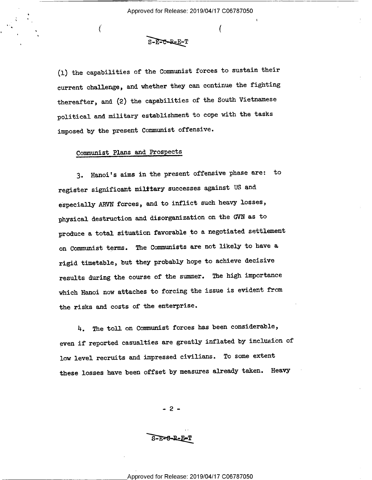$\mathcal{L}_{\mathcal{L}}$ 

 $S-F-C-R-E-T$ 

(l) the capabilities of the Communist forces to sustain their current challenge, and whether they can continue the fighting thereafter, and (2) the capabilities of the South Vietnamese political and military establishment to cope with the tasks imposed by the present Communist offensive.

### Communist Plans and Prospects

 $\boldsymbol{\mathcal{L}}$ 

4'

3. Hanoi's aims in the present offensive phase are: to register significant military successes against US and especially ARVN forces, and to inflict such heavy losses, physical destruction and disorganization on the GVN as to produce a total situation favorable to a negotiated settlement on Communist terms. The Comunists are not likely to have <sup>a</sup> rigid timetable, but they probably hope to achieve decisive results during the course of the summer. The high importance which Hanoi now attaches to forcing the issue is evident from the risks and costs of the enterprise.

h. The toll on Communist forces has been considerable, even if reported casualties are greatly inflated by inclusion of low level recruits and impressed civilians. To some extent these losses have been offset by measures already taken. Heavy

- 2 -

 $S-F=6-R-E$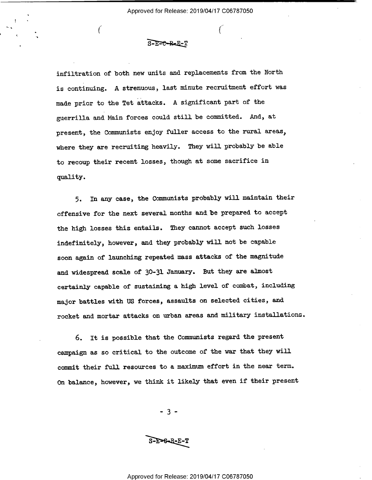#### $S-F=C-RE-F-T$

 $\mathcal{N}$  (construction of the set of the set of the set of the set of the set of the set of the set of the set of the set of the set of the set of the set of the set of the set of the set of the set of the set of the set

,

'

infiltration of both new units and replacements from the North is continuing. A strenuous, last minute recruitment effort was made prior to the Tet attacks. A significant part of the guerrilla and Main forces could still be committed. And, at present, the Communists enjoy fuller access to the rural areas, where they are recruiting heavily. They will probably be able to recoup their recent losses, though at some sacrifice in quality.

5. In any case, the Communists probably will maintain their offensive for the next several months and be prepared to accept the high losses this entails. They cannot accept such losses indefinitely, however, and they probably will not be capable soon again of launching repeated mass attacks of the magnitude and widespread scale of 30-31 January. But they are almost certainly capable of sustaining a high level of combat, including major battles with US forces, assaults on selected cities, and rocket and mortar attacks on urban areas and military installations.

6. It is possible that the Communists regard the present campaign as so critical to the outcome of the war that they will commit their full resources to a maximum effort in the near term. On balance, however, we think it likely that even if their present

 $-3$ .

S-E=6-R-E-T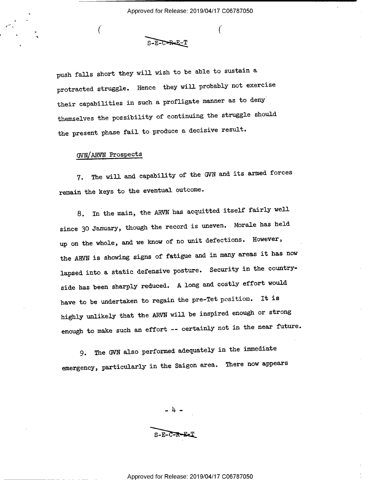$S-F-T=R-F-T$ 

 $\mathcal{L}$ 

push falls short they will wish to be able to sustain <sup>a</sup> protracted struggle. Hence they will probably not exercise their capabilities in such a profligate manner as to deny themselves the possibility of continuing the struggle should the present phase fail to produce a decisive result.

## GVN/ARVN Prospects

.

7. The will and capability of the GVN and its armed forces remain the keys to the eventual outcome.

8. In the main, the ARVN has acquitted itself fairly well since 30 January, though the record is uneven. Morale has held up on the whole, and we know of no unit defections. However, the ARVN is showing signs of fatigue and in many areas it has now lapsed into a static defensive posture. Security in the countryside has been sharply reduced. A long and costly effort would have to be undertaken to regain the pre—Tet position. It is highly unlikely that the ARVN will be inspired enough or strong enough to make such an effort -- certainly not in the near future.

9. The GVN also performed adequately in the immediate emergency, particularly in the Saigon area. There now appears

> ..)+...  $S-$ E $-$ E $-$ E $=$ T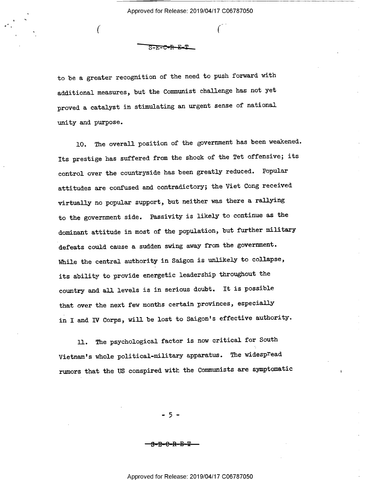<u> ਨ=ਜ=ਦ=ਜ</u>

 $\mathcal{N}$ 

¢"

to be a greater recognition of the need to push forward with additional measures, but the Comunist challenge has not yet proved a catalyst in stimulating an urgent sense of national unity and purpose.

10. The overall position of the government has been weakened. Its prestige has suffered from the shock of the Tet offensive; its control over the countryside has been greatly reduced. Popular attitudes are confused and contradictory; the Viet Cong received virtually no popular support, but neither was there a rallying to the government side. Passivity is likely to continue as the dominant attitude in most of the population, but further military defeats could cause a sudden swing away from the government. While the central authority in Saigon is unlikely to collapse, its ability to provide energetic leadership throughout the country and all levels is in serious doubt. It is possible that over the next few months certain provinces, especially in I and IV Corps, will be lost to Saigon's effective authority.

ll. The psychological factor is now critical for South Vietnam's whole political-military apparatus. The widespread rumors that the US conspired with the Communists are symptomatic

- 5 -

'-B'E-€-R—£F4F—-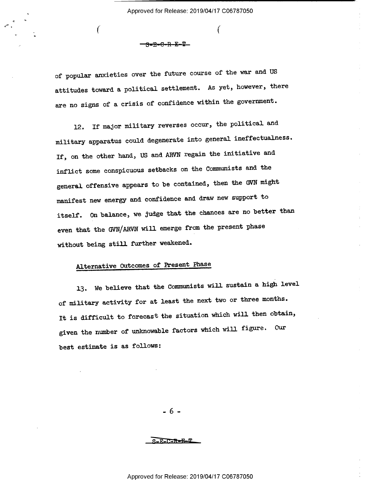$\mathbf{I}$ 

<del>- 8-B-0-R-K-Y-</del>

 $\sqrt{2}$ 

of popular anxieties over the future course of the war and US attitudes toward a political settlement. As yet, however, there are no signs of a crisis of confidence within the government.

12. If major military reverses occur, the political and military apparatus could degenerate into general ineffectualness. If, on the other hand, US and ARVN regain the initiative and inflict some conspicuous setbacks on the Comunists and the general offensive appears to be contained, then the GVN might manifest new energy and confidence and draw new support to itself. On balance, we judge that the chances are no better than even that the GVN/ARVN will emerge from the present phase without being still further weakened.

# Alternative Outcomes of Present Phase

l3. we believe that the Communists will sustain a high level of military activity for at least the next two or three months. It is difficult to forecast the situation which will then obtain, given the number of unknowable factors which will figure. Our best estimate is as follows:

-6-

 $S-F-T-F-F-T$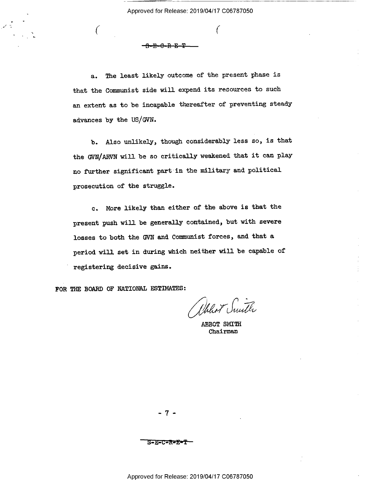a. The least likely outcome of the present phase is that the Communist side will expend its resources to such an extent as to be incapable thereafter of preventing steady advances by the US/GVN.

 $\mathcal{L}$ 

 $-$ B-E-C-R-E- $-$ 

b. Also unlikely, though considerably less so, is that the GVN/ARVN will be so critically weakened that it can play no further significant partin the military and political prosecution of the struggle.

c. More likely than either of the above is that the present push will be generally contained, but with severe losses to both the GVN and Communist forces, and that a. period will set in during which neither will be capable of registering decisive gains.

FOR THE BOARD OF NATIONAL ESTIMATES:

Whhot Smith

ABBOT SMITH Chairman

-7-

—S7E=C=R=E=T—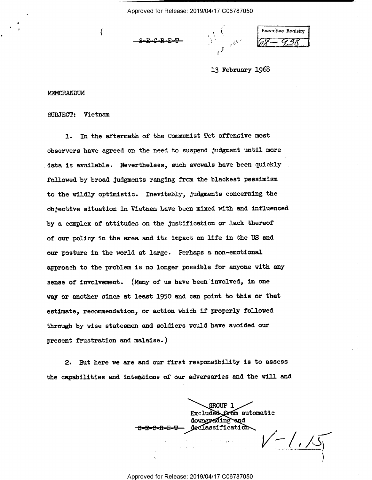U'Z 'I. DE LA CARACTER DE LA CARACTER DE LA CARACTER DE LA CARACTER DE LA CARACTER DE LA CARACTER DE LA CARACTER DE LA CARACTER DE LA CARACTER DE LA CARACTER DE LA CARACTER DE LA CARACTER DE LA CARACTER DE LA CARACTER DE L

 $\mathbf{r}^{\mathcal{D}}$ 

 $S=E-C-R-E-T$   $\qquad \qquad \qquad$   $\qquad \qquad$   $\qquad \qquad$   $\qquad \qquad$   $\qquad \qquad$   $\qquad \qquad$   $\qquad \qquad$   $\qquad \qquad$   $\qquad \qquad$   $\qquad \qquad$   $\qquad \qquad$   $\qquad \qquad$   $\qquad \qquad$   $\qquad \qquad$   $\qquad \qquad$   $\qquad \qquad$   $\qquad \qquad$   $\qquad \qquad$   $\qquad \qquad$   $\qquad \qquad$   $\qquad \qquad$   $\qquad \qquad$   $\qquad \qquad$   $\$ 

l3 February 1968

MEMDRANDUM

SUBJECT: Vietnam

Q'

1. In the aftermath of the Communist Tet offensive most observers have agreed on the need to suspend judgment until more data is available. Nevertheless, such avowals have been quickly followed by broad Judgments ranging from the blackest pessimism to the wildly optimistic. Inevitably, Judgments concerning the objective situation in Vietnam haye been mixed with and influenced by a complex of attitudes on the justification or lack thereof of our policy in the area and its impact on life in the US and our posture in the world at large. Perhaps a non-emotional approach to the problem is no longer possible for anyone with any sense of involvement. (Many of us have been involved, in one way or another since at least 1950 and can point to this or that estimate, recommendation, or action which if properly followed through by wise statesmen and soldiers would have avoided our present frustration and malaise.)

2. But here we are and our first responsibility is to assess the capabilities and intentions of our adversaries and the will and

GROUP l Excluded from automatic downgrading and  $\rm{deC}$  assification

'\ \_.4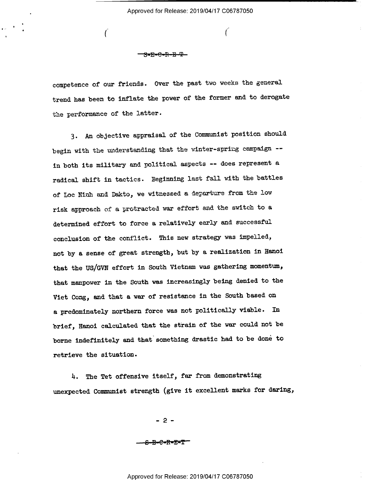$\Gamma$ 

-8-E-S-R-E—'¥—

(

competence of our friends. Over the past two weeks the general trend has been to inflate the power of the former and to derogate the performance of the latter.

3. An objective appraisal of the Communist position should begin with the understanding that the winter-spring campaign - in both its military and political aspects -- does represent <sup>a</sup> radical shift in tactics. Beginning last fall with the battles of Loc Ninh and Dakto, we witnessed a departure from the low risk approach of a protracted war effort and the switch to <sup>a</sup> determined effort to force a relatively early and successful conclusion of the conflict. This new strategy was impelled, not by a sense of great strength, but by a realization in Hanoi that the US/GVN effort in South Vietnam was gathering momentum, that manpower in the South was increasingly being denied to the Viet Cong, and that a war of resistance in the South based on a predominately northern force was not politically viable. In brief, Hanoi calculated that the strain of the war could not be borne indefinitely and that something drastic had to be done to retrieve the situation.

H. The Tet offensive itself, far from demonstrating unexpected Communist strength (give it excellent marks for daring,

- 2 -

——€—E-€'R'E#T-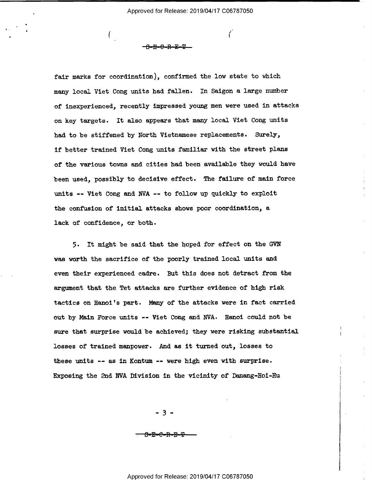, i.e.,  $\mathcal{L}_{\text{max}}$ 

fair marks for coordination), confirmed the low state to which many local Viet Cong units had fallen. In Saigon a large number of inexperienced, recently impressed young men were used in attacks on key targets. It also appears that many local Viet Cong units had to be stiffened by North Vietnamese replacements. Surely, if better trained Viet Cong units familiar with the street plans of the various towns and cities had been available they would have been used, possibly to decisive effect. The failure of main force units -- Viet Cong and NVA -- to follow up quickly to exploit the confusion of initial attacks shows poor coordination, a lack of confidence, or both.

-S-E-€=R—E-EL-

5. It might be said that the hoped for effect on the GVN was worth the sacrifice of the poorly trained local units and even their experienced cadre. But this does not detract from the argument that the Tet attacks are further evidence of high risk tactics on Hanoi's part. Many of the attacks were in fact carried out by Main Force units -— Viet Cong and NVA- Hanoi could not be sure that surprise would be achieved; they were risking substantial losses of trained manpower. And as it turned out, losses to these units  $--$  as in Kontum  $--$  were high even with surprise. Exposing the 2nd NVA Division in the vicinity of Danang-Hoi-Hu

 $-3 -$ 

<del>-R-C-R-R</del>

\_\_ Approved for Release: 2019/04/17 C06787050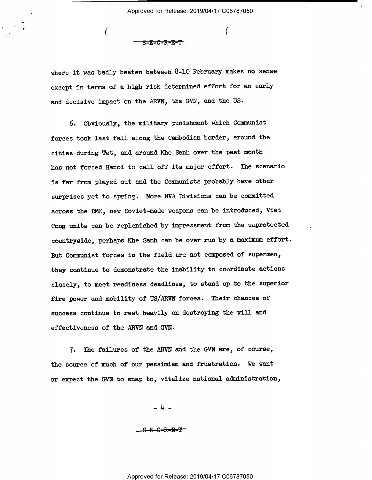<del>- S-E-C-R-E-T</del>

 $\mathbf{C}$  (and the contract of  $\mathbf{C}$ 

where it was badly beaten between 8-10 February makes no sense except in terms of a high risk determined effort for an early and decisive impact on the ARVN, the GVN, and the US.

6. Obviously, the military punishment which Comunist forces took last fall along the Cambodian border, around the cities during Tet, and around Khe Sanh over the past month has not forced Hanoi to\_call off its major effort. The scenario is far from played out and the Communists probably have other surprises yet to spring. More NVA Divisions can be committed across the DMZ, new Soviet-made weapons can be introduced, Viet Cong units can be replenished by impressment from the unprotected countryside, perhaps Khe Sanh can be over run by a maximum effort. But Communist forces in the field are not composed of supermen, they continue to demonstrate the inability to coordinate actions closely, to meet readiness deadlines, to stand up to the superior fire power and mobility of US/ARVN forces. Their chances of success continue to rest heavily on destroying the will and effectiveness of the ARVN and GVN.

7. -The failures of the ARVN and the GVN are, of course, the source of much of our pessimism and frustration. we want or expect the GVN to snap to, vitalize national administration,

 $-4$ 

\_-S-E-G—R-E\*T-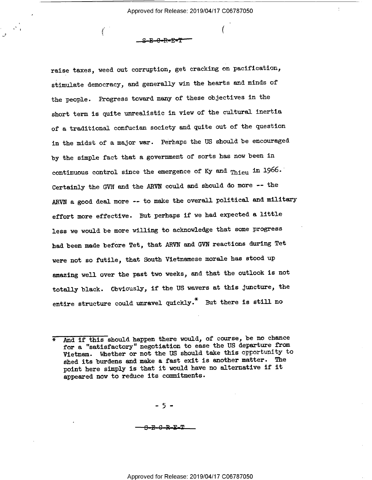$\left($ 

 $S-E-C-R=E-T$ 

raise taxes, weed out corruption, get cracking on pacification, stimulate democracy, and generally win the hearts and minds of the people. Progress toward many of these objectives in the short term is quite unrealistic in view of the cultural inertia of a traditional confucian society and quite out of the question in the midst of a major war. Perhaps the US should be encouraged by the simple fact that a government of sorts has now been in continuous control since the emergence of Ky and Thieu in 1966. Certainly the GVN and the ARVN could and should do more -- the ARVN a good deal more -- to make the overall political and military effort more effective. But perhaps if we had expected a little less we would be more willing to acknowledge that some progress had been made before Tet, that ARVN and GVN reactions during Tet were not so futile, that South Vietnamese morale has stood up amazing well over the past two weeks, and that the outlook is not totally black. Obviously, if the US wavers at this juncture, the entire structure could unravel quickly.\* But there is still no

\_ 5 -

<del>-R-C-R-E-T</del>

And if this should happen there would, of course, be no chance for a "satisfactory" negotiation to ease the US departure from Vietnam. Whether or not the US should take this opportunity to shed its burdens and make a fast exit is another matter. The point here simply is that it would have no alternative if it appeared now to reduce its commitments.